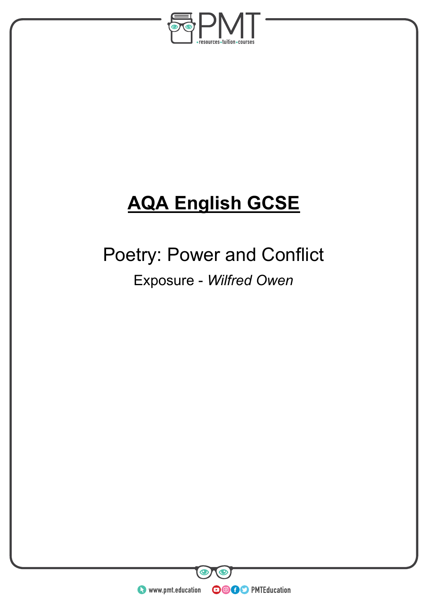

# **AQA English GCSE**

# Poetry: Power and Conflict Exposure - *Wilfred Owen*

**WWW.pmt.education** 

 $\bullet$ 

**OOOO** PMTEducation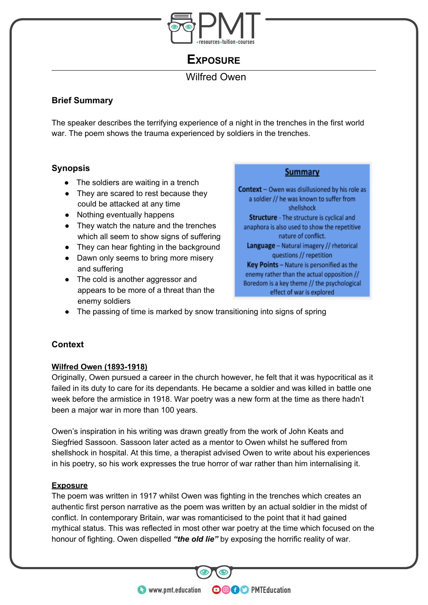

# **EXPOSURE**

# Wilfred Owen

# **Brief Summary**

The speaker describes the terrifying experience of a night in the trenches in the first world war. The poem shows the trauma experienced by soldiers in the trenches.

# **Synopsis**

- The soldiers are waiting in a trench
- They are scared to rest because they could be attacked at any time
- Nothing eventually happens
- They watch the nature and the trenches which all seem to show signs of suffering
- They can hear fighting in the background
- Dawn only seems to bring more misery and suffering
- The cold is another aggressor and appears to be more of a threat than the enemy soldiers

**Summary** 

**Context** - Owen was disillusioned by his role as a soldier // he was known to suffer from shellshock **Structure** - The structure is cyclical and anaphora is also used to show the repetitive nature of conflict. Language - Natural imagery // rhetorical questions // repetition Key Points - Nature is personified as the enemy rather than the actual opposition // Boredom is a key theme // the psychological effect of war is explored

• The passing of time is marked by snow transitioning into signs of spring

# **Context**

## **Wilfred Owen (1893-1918)**

Originally, Owen pursued a career in the church however, he felt that it was hypocritical as it failed in its duty to care for its dependants. He became a soldier and was killed in battle one week before the armistice in 1918. War poetry was a new form at the time as there hadn't been a major war in more than 100 years.

Owen's inspiration in his writing was drawn greatly from the work of John Keats and Siegfried Sassoon. Sassoon later acted as a mentor to Owen whilst he suffered from shellshock in hospital. At this time, a therapist advised Owen to write about his experiences in his poetry, so his work expresses the true horror of war rather than him internalising it.

## **Exposure**

The poem was written in 1917 whilst Owen was fighting in the trenches which creates an authentic first person narrative as the poem was written by an actual soldier in the midst of conflict. In contemporary Britain, war was romanticised to the point that it had gained mythical status. This was reflected in most other war poetry at the time which focused on the honour of fighting. Owen dispelled *"the old lie"* by exposing the horrific reality of war.

**OOOO** PMTEducation

**C** www.pmt.education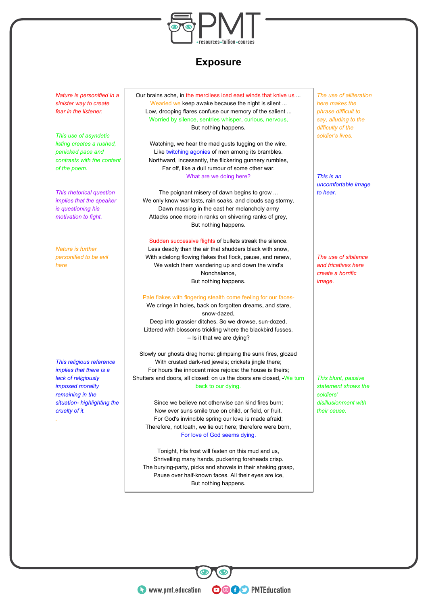

# **Exposure**

*Nature is personified in a sinister way to create fear in the listener.*

*This use of asyndetic listing creates a rushed, panicked pace and contrasts with the content of the poem.*

*This rhetorical question implies that the speaker is questioning his motivation to fight.*

*Nature is further personified to be evil here*

*This religious reference implies that there is a lack of religiously imposed morality remaining in the situation- highlighting the cruelty of it.*

*.*

Our brains ache, in the merciless iced east winds that knive us ... Wearied we keep awake because the night is silent ... Low, drooping flares confuse our memory of the salient ... Worried by silence, sentries whisper, curious, nervous, But nothing happens.

Watching, we hear the mad gusts tugging on the wire, Like twitching agonies of men among its brambles. Northward, incessantly, the flickering gunnery rumbles, Far off, like a dull rumour of some other war. What are we doing here?

The poignant misery of dawn begins to grow ... We only know war lasts, rain soaks, and clouds sag stormy. Dawn massing in the east her melancholy army Attacks once more in ranks on shivering ranks of grey, But nothing happens.

Sudden successive flights of bullets streak the silence. Less deadly than the air that shudders black with snow, With sidelong flowing flakes that flock, pause, and renew, We watch them wandering up and down the wind's Nonchalance, But nothing happens.

Pale flakes with fingering stealth come feeling for our faces-We cringe in holes, back on forgotten dreams, and stare, snow-dazed, Deep into grassier ditches. So we drowse, sun-dozed, Littered with blossoms trickling where the blackbird fusses. – Is it that we are dying?

Slowly our ghosts drag home: glimpsing the sunk fires, glozed With crusted dark-red jewels; crickets jingle there; For hours the innocent mice rejoice: the house is theirs; Shutters and doors, all closed: on us the doors are closed, -We turn back to our dying.

Since we believe not otherwise can kind fires burn; Now ever suns smile true on child, or field, or fruit. For God's invincible spring our love is made afraid; Therefore, not loath, we lie out here; therefore were born, For love of God seems dying.

Tonight, His frost will fasten on this mud and us, Shrivelling many hands. puckering foreheads crisp. The burying-party, picks and shovels in their shaking grasp, Pause over half-known faces. All their eyes are ice, But nothing happens.

**OOOO** PMTEducation

*The use of alliteration here makes the phrase difficult to say, alluding to the difficulty of the soldier's lives.*

*This is an uncomfortable image to hear.*

*The use of sibilance and fricatives here create a horrific image.*

*This blunt, passive statement shows the soldiers' disillusionment with their cause.*

**WWW.pmt.education**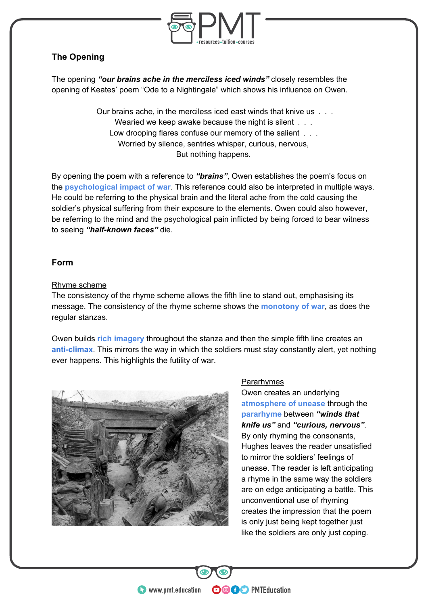

# **The Opening**

The opening *"our brains ache in the merciless iced winds"* closely resembles the opening of Keates' poem "Ode to a Nightingale" which shows his influence on Owen.

> Our brains ache, in the merciless iced east winds that knive us . . . Wearied we keep awake because the night is silent . . . Low drooping flares confuse our memory of the salient . . . Worried by silence, sentries whisper, curious, nervous, But nothing happens.

By opening the poem with a reference to *"brains"*, Owen establishes the poem's focus on the **psychological impact of war**. This reference could also be interpreted in multiple ways. He could be referring to the physical brain and the literal ache from the cold causing the soldier's physical suffering from their exposure to the elements. Owen could also however, be referring to the mind and the psychological pain inflicted by being forced to bear witness to seeing *"half-known faces"* die.

## **Form**

#### Rhyme scheme

The consistency of the rhyme scheme allows the fifth line to stand out, emphasising its message. The consistency of the rhyme scheme shows the **monotony of war**, as does the regular stanzas.

Owen builds **rich imagery** throughout the stanza and then the simple fifth line creates an **anti-climax**. This mirrors the way in which the soldiers must stay constantly alert, yet nothing ever happens. This highlights the futility of war.



#### **Pararhymes**

**OOOO** PMTEducation

Owen creates an underlying **atmosphere of unease** through the **pararhyme** between *"winds that knife us"* and *"curious, nervous"*. By only rhyming the consonants, Hughes leaves the reader unsatisfied to mirror the soldiers' feelings of unease. The reader is left anticipating a rhyme in the same way the soldiers are on edge anticipating a battle. This unconventional use of rhyming creates the impression that the poem is only just being kept together just like the soldiers are only just coping.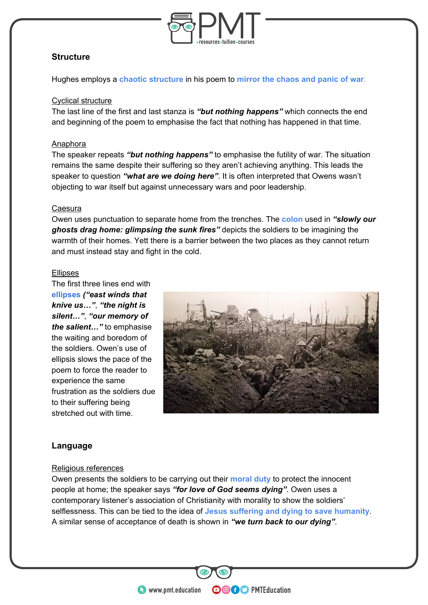

# **Structure**

Hughes employs a **chaotic structure** in his poem to **mirror the chaos and panic of war**.

#### Cyclical structure

The last line of the first and last stanza is *"but nothing happens"* which connects the end and beginning of the poem to emphasise the fact that nothing has happened in that time.

#### Anaphora

The speaker repeats *"but nothing happens"* to emphasise the futility of war. The situation remains the same despite their suffering so they aren't achieving anything. This leads the speaker to question *"what are we doing here"*. It is often interpreted that Owens wasn't objecting to war itself but against unnecessary wars and poor leadership.

#### Caesura

Owen uses punctuation to separate home from the trenches. The **colon** used in *"slowly our ghosts drag home: glimpsing the sunk fires"* depicts the soldiers to be imagining the warmth of their homes. Yett there is a barrier between the two places as they cannot return and must instead stay and fight in the cold.

#### **Ellipses**

The first three lines end with **ellipses** *("east winds that knive us…"*, *"the night is silent…"*, *"our memory of the salient…"* to emphasise the waiting and boredom of the soldiers. Owen's use of ellipsis slows the pace of the poem to force the reader to experience the same frustration as the soldiers due to their suffering being stretched out with time.



# **Language**

#### Religious references

Owen presents the soldiers to be carrying out their **moral duty** to protect the innocent people at home; the speaker says *"for love of God seems dying"*. Owen uses a contemporary listener's association of Christianity with morality to show the soldiers' selflessness. This can be tied to the idea of **Jesus suffering and dying to save humanity**. A similar sense of acceptance of death is shown in *"we turn back to our dying"*.

**OOOO** PMTEducation

**WWW.pmt.education**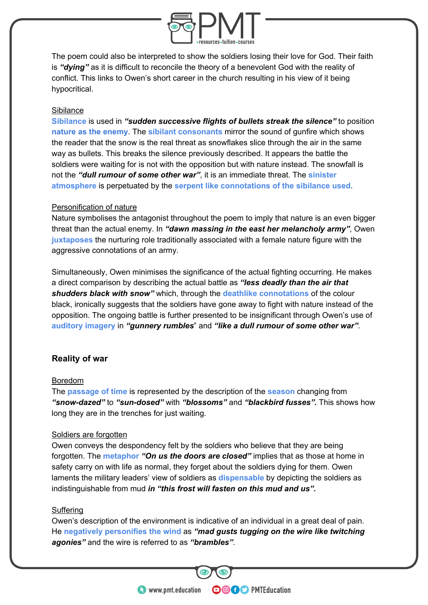

The poem could also be interpreted to show the soldiers losing their love for God. Their faith is *"dying"* as it is difficult to reconcile the theory of a benevolent God with the reality of conflict. This links to Owen's short career in the church resulting in his view of it being hypocritical.

#### **Sibilance**

**Sibilance** is used in *"sudden successive flights of bullets streak the silence"* to position **nature as the enemy**. The **sibilant consonants** mirror the sound of gunfire which shows the reader that the snow is the real threat as snowflakes slice through the air in the same way as bullets. This breaks the silence previously described. It appears the battle the soldiers were waiting for is not with the opposition but with nature instead. The snowfall is not the *"dull rumour of some other war"*, it is an immediate threat. The **sinister atmosphere** is perpetuated by the **serpent like connotations of the sibilance used**.

#### Personification of nature

Nature symbolises the antagonist throughout the poem to imply that nature is an even bigger threat than the actual enemy. In *"dawn massing in the east her melancholy army"*, Owen **juxtaposes** the nurturing role traditionally associated with a female nature figure with the aggressive connotations of an army.

Simultaneously, Owen minimises the significance of the actual fighting occurring. He makes a direct comparison by describing the actual battle as *"less deadly than the air that shudders black with snow"* which, through the **deathlike connotations** of the colour black, ironically suggests that the soldiers have gone away to fight with nature instead of the opposition. The ongoing battle is further presented to be insignificant through Owen's use of **auditory imagery** in *"gunnery rumbles*" and *"like a dull rumour of some other war"*.

#### **Reality of war**

#### Boredom

The **passage of time** is represented by the description of the **season** changing from *"snow-dazed"* to *"sun-dosed"* with *"blossoms"* and *"blackbird fusses".* This shows how long they are in the trenches for just waiting.

#### Soldiers are forgotten

Owen conveys the despondency felt by the soldiers who believe that they are being forgotten. The **metaphor** *"On us the doors are closed"* implies that as those at home in safety carry on with life as normal, they forget about the soldiers dying for them. Owen laments the military leaders' view of soldiers as **dispensable** by depicting the soldiers as indistinguishable from mud *in "this frost will fasten on this mud and us".* 

#### **Suffering**

Owen's description of the environment is indicative of an individual in a great deal of pain. He **negatively personifies the wind** as *"mad gusts tugging on the wire like twitching agonies"* and the wire is referred to as *"brambles"*.

**OOOO** PMTEducation

**C** www.pmt.education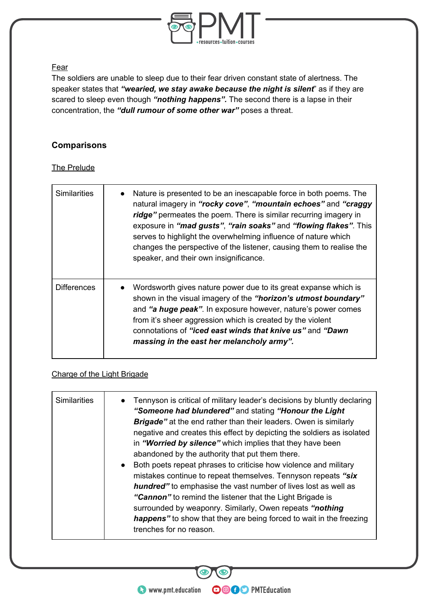

# **Fear**

The soldiers are unable to sleep due to their fear driven constant state of alertness. The speaker states that *"wearied, we stay awake because the night is silent*" as if they are scared to sleep even though *"nothing happens".* The second there is a lapse in their concentration, the *"dull rumour of some other war"* poses a threat.

# **Comparisons**

## The Prelude

| <b>Similarities</b> | Nature is presented to be an inescapable force in both poems. The<br>natural imagery in "rocky cove", "mountain echoes" and "craggy<br>ridge" permeates the poem. There is similar recurring imagery in<br>exposure in "mad gusts", "rain soaks" and "flowing flakes". This<br>serves to highlight the overwhelming influence of nature which<br>changes the perspective of the listener, causing them to realise the<br>speaker, and their own insignificance. |
|---------------------|-----------------------------------------------------------------------------------------------------------------------------------------------------------------------------------------------------------------------------------------------------------------------------------------------------------------------------------------------------------------------------------------------------------------------------------------------------------------|
| <b>Differences</b>  | Wordsworth gives nature power due to its great expanse which is<br>shown in the visual imagery of the "horizon's utmost boundary"<br>and "a huge peak". In exposure however, nature's power comes<br>from it's sheer aggression which is created by the violent<br>connotations of "iced east winds that knive us" and "Dawn<br>massing in the east her melancholy army".                                                                                       |

## Charge of the Light Brigade

| <b>Similarities</b> | Tennyson is critical of military leader's decisions by bluntly declaring<br>"Someone had blundered" and stating "Honour the Light"<br><b>Brigade</b> " at the end rather than their leaders. Owen is similarly<br>negative and creates this effect by depicting the soldiers as isolated<br>in "Worried by silence" which implies that they have been<br>abandoned by the authority that put them there.<br>Both poets repeat phrases to criticise how violence and military<br>$\bullet$<br>mistakes continue to repeat themselves. Tennyson repeats "six<br><b>hundred"</b> to emphasise the vast number of lives lost as well as<br>"Cannon" to remind the listener that the Light Brigade is<br>surrounded by weaponry. Similarly, Owen repeats "nothing<br><b>happens</b> " to show that they are being forced to wait in the freezing<br>trenches for no reason. |
|---------------------|------------------------------------------------------------------------------------------------------------------------------------------------------------------------------------------------------------------------------------------------------------------------------------------------------------------------------------------------------------------------------------------------------------------------------------------------------------------------------------------------------------------------------------------------------------------------------------------------------------------------------------------------------------------------------------------------------------------------------------------------------------------------------------------------------------------------------------------------------------------------|
|---------------------|------------------------------------------------------------------------------------------------------------------------------------------------------------------------------------------------------------------------------------------------------------------------------------------------------------------------------------------------------------------------------------------------------------------------------------------------------------------------------------------------------------------------------------------------------------------------------------------------------------------------------------------------------------------------------------------------------------------------------------------------------------------------------------------------------------------------------------------------------------------------|

**OOOO** PMTEducation